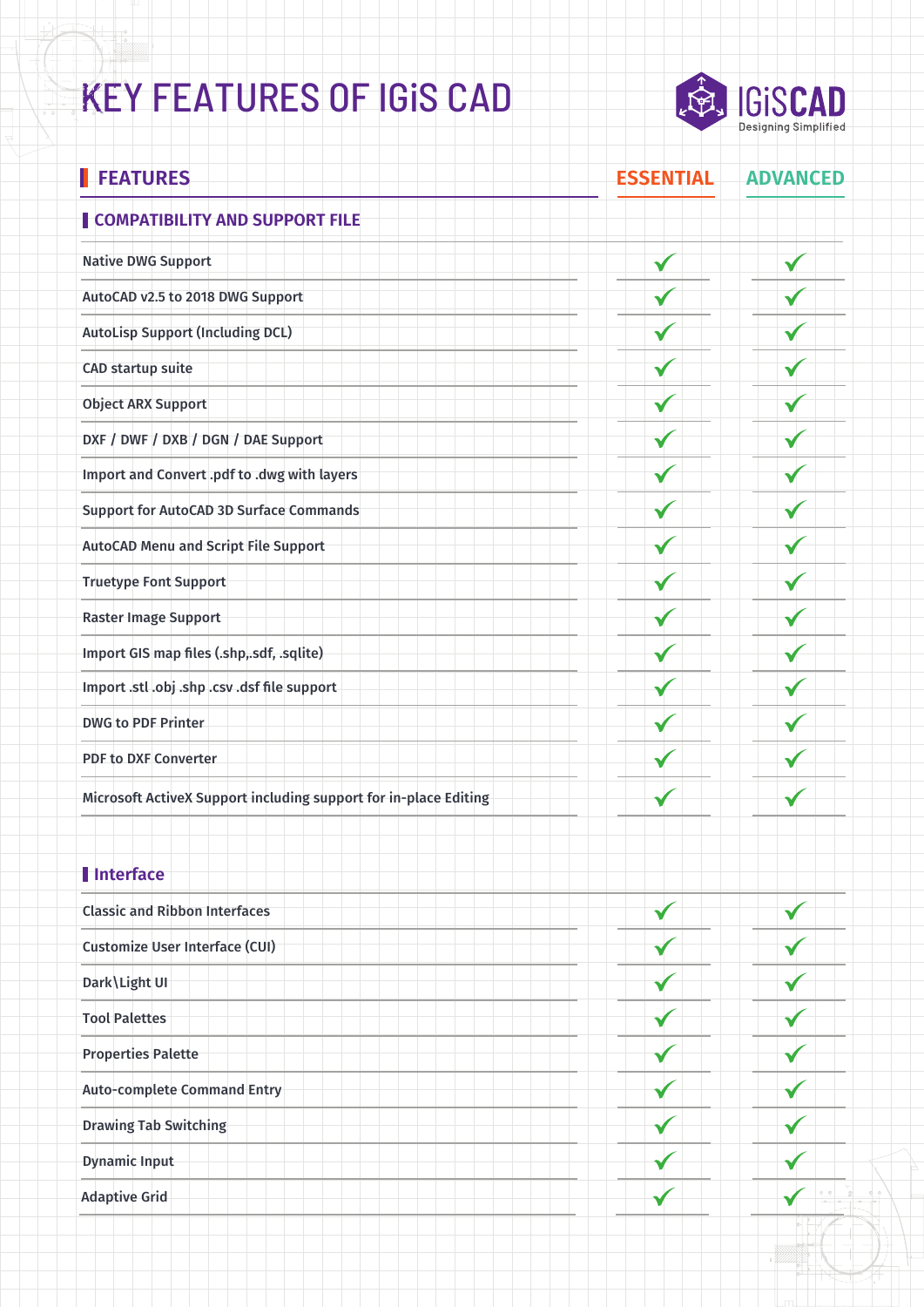## KEY FEATURES OF IGiS CAD



Ť

| <b>FEATURES</b>                                                  | <b>ESSENTIAL</b> | <b>ADVANCED</b> |
|------------------------------------------------------------------|------------------|-----------------|
| COMPATIBILITY AND SUPPORT FILE                                   |                  |                 |
| <b>Native DWG Support</b>                                        |                  |                 |
| AutoCAD v2.5 to 2018 DWG Support                                 |                  |                 |
| <b>AutoLisp Support (Including DCL)</b>                          |                  |                 |
| <b>CAD startup suite</b>                                         |                  |                 |
| <b>Object ARX Support</b>                                        |                  |                 |
| DXF / DWF / DXB / DGN / DAE Support                              |                  |                 |
| Import and Convert .pdf to .dwg with layers                      |                  |                 |
| <b>Support for AutoCAD 3D Surface Commands</b>                   |                  |                 |
| <b>AutoCAD Menu and Script File Support</b>                      |                  |                 |
| <b>Truetype Font Support</b>                                     |                  |                 |
| <b>Raster Image Support</b>                                      |                  |                 |
| Import GIS map files (.shp,.sdf, .sqlite)                        |                  |                 |
| Import .stl .obj .shp .csv .dsf file support                     |                  |                 |
| <b>DWG to PDF Printer</b>                                        |                  |                 |
| <b>PDF to DXF Converter</b>                                      |                  |                 |
| Microsoft ActiveX Support including support for in-place Editing |                  |                 |
|                                                                  |                  |                 |

### **Interface**

| <b>Classic and Ribbon Interfaces</b>  |  |
|---------------------------------------|--|
| <b>Customize User Interface (CUI)</b> |  |
| Dark \ Light UI                       |  |
| <b>Tool Palettes</b>                  |  |
| <b>Properties Palette</b>             |  |
| <b>Auto-complete Command Entry</b>    |  |
| <b>Drawing Tab Switching</b>          |  |
| <b>Dynamic Input</b>                  |  |
| <b>Adaptive Grid</b>                  |  |
|                                       |  |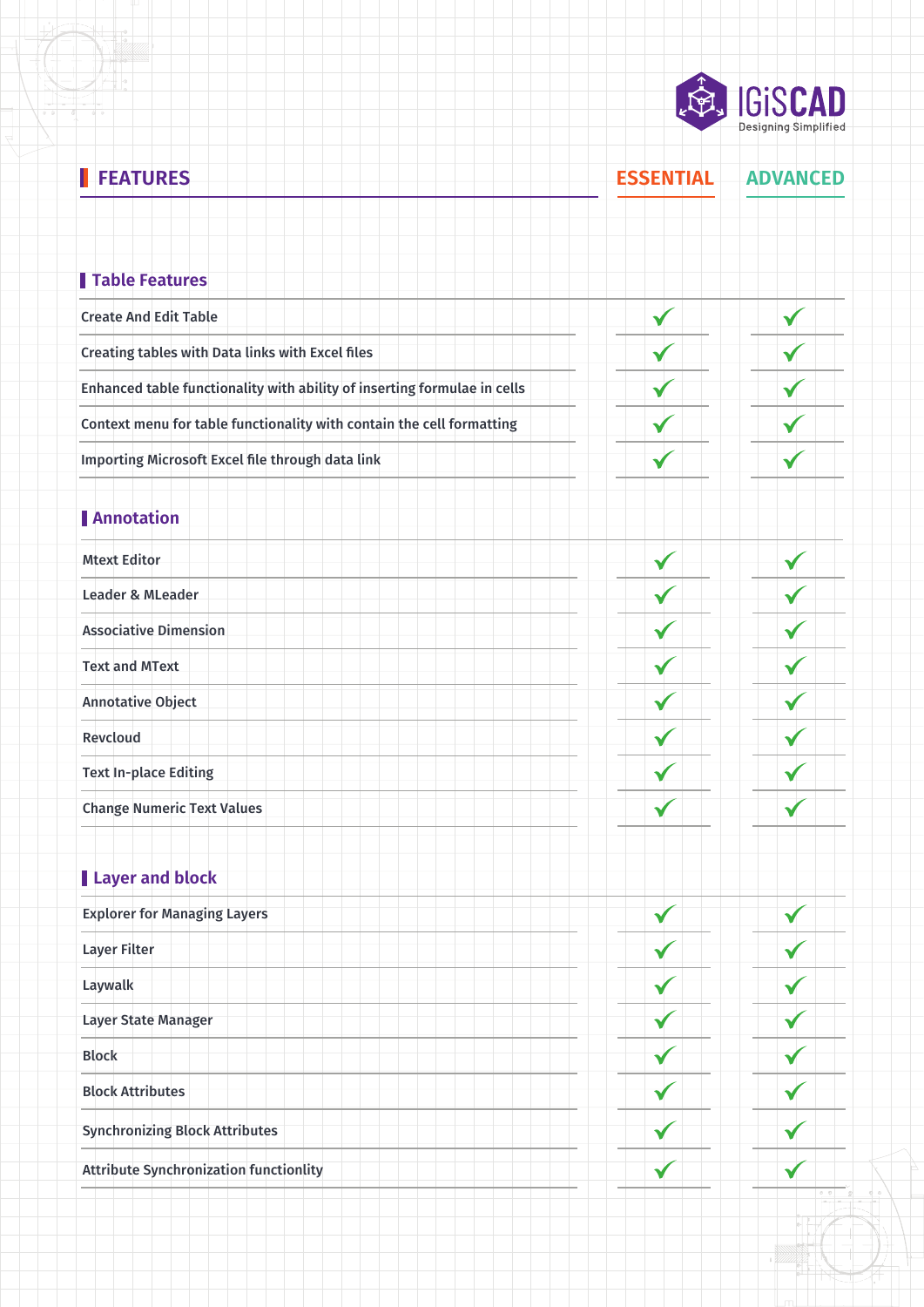**READ IGISCAD** 

| ı<br><b>FEATURES</b>                                                     | <b>ESSENTIAL</b> | <b>ADVANCED</b> |
|--------------------------------------------------------------------------|------------------|-----------------|
| Table Features                                                           |                  |                 |
| <b>Create And Edit Table</b>                                             | V                | V               |
| Creating tables with Data links with Excel files                         |                  |                 |
| Enhanced table functionality with ability of inserting formulae in cells |                  |                 |
| Context menu for table functionality with contain the cell formatting    |                  |                 |
| Importing Microsoft Excel file through data link                         |                  | V               |
|                                                                          |                  |                 |
| <b>Annotation</b>                                                        |                  |                 |
| <b>Mtext Editor</b>                                                      | ✔                |                 |
| <b>Leader &amp; MLeader</b>                                              |                  |                 |
| <b>Associative Dimension</b>                                             |                  |                 |
| <b>Text and MText</b>                                                    |                  |                 |
| <b>Annotative Object</b>                                                 |                  |                 |
| Revcloud                                                                 |                  |                 |
| <b>Text In-place Editing</b>                                             |                  |                 |
| <b>Change Numeric Text Values</b>                                        |                  |                 |
| Layer and block                                                          |                  |                 |
| <b>Explorer for Managing Layers</b>                                      |                  |                 |
| <b>Layer Filter</b>                                                      |                  |                 |
| Laywalk                                                                  |                  |                 |
| Layer State Manager                                                      |                  |                 |
| <b>Block</b>                                                             |                  |                 |
| <b>Block Attributes</b>                                                  |                  |                 |
| <b>Synchronizing Block Attributes</b>                                    |                  |                 |
| <b>Attribute Synchronization functionlity</b>                            |                  |                 |
|                                                                          |                  |                 |

 $\mathcal{L}$ 

 $\overline{\mathcal{L}}$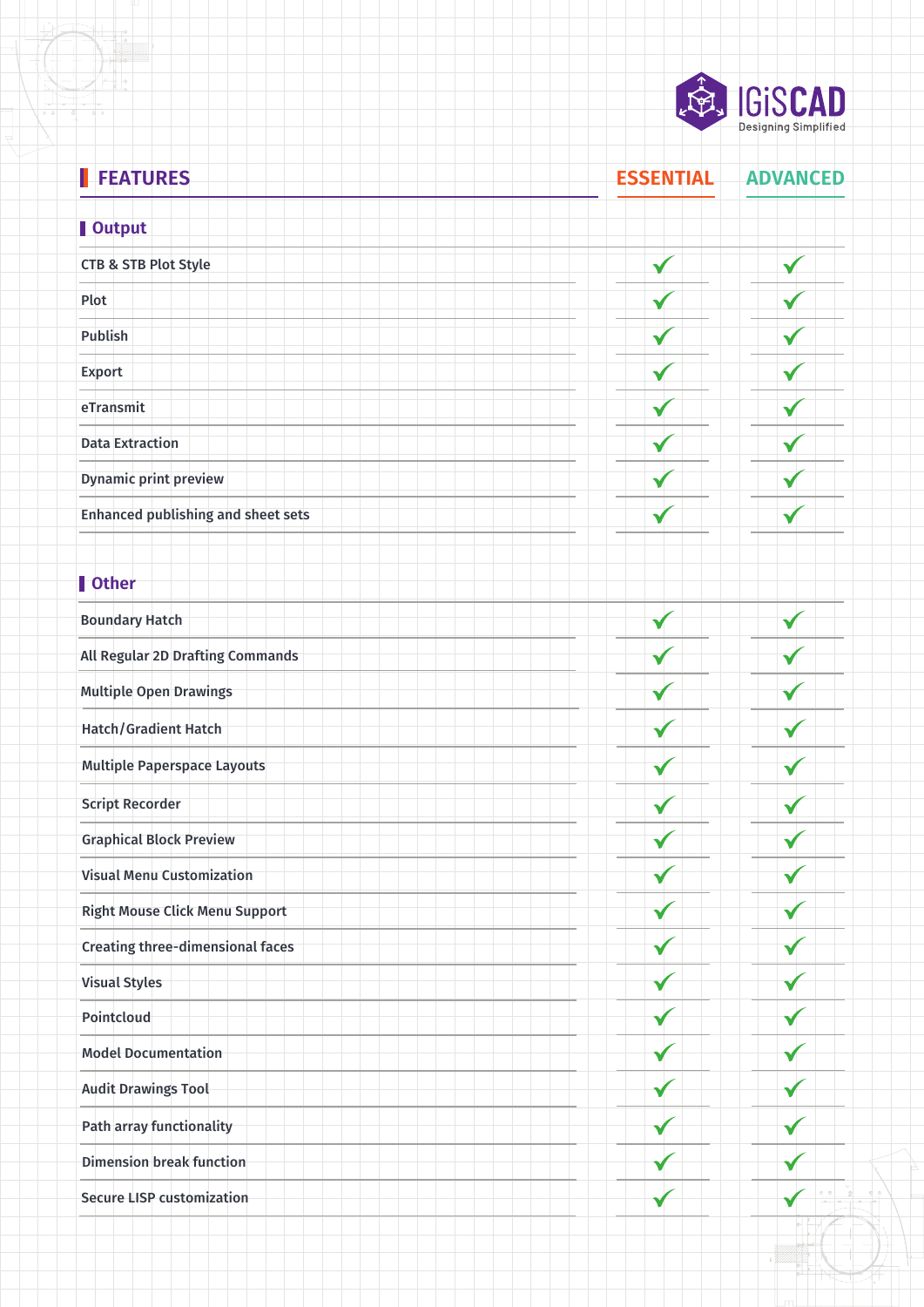

#### **FEATURES ESSENTIAL ADVANCED**

#### **Output** CTB & STB Plot Style  $\checkmark$  $\checkmark$ Plot  $\checkmark$ Publish  $\checkmark$ Export ✔ eTransmit  $\checkmark$ Data Extraction ✔  $\checkmark$ Dynamic print preview ✔  $\checkmark$ Enhanced publishing and sheet sets  $\checkmark$  $\checkmark$ **l** Other Boundary Hatch  $\blacktriangledown$ All Regular 2D Drafting Commands Multiple Open Drawings Hatch/Gradient Hatch Multiple Paperspace Layouts ✔ ✓ Script Recorder Graphical Block Preview  $\checkmark$ Visual Menu Customization Right Mouse Click Menu Support Creating three-dimensional faces Visual Styles Pointcloud Model Documentation Audit Drawings Tool Path array functionality Dimension break function  $\checkmark$ Secure LISP customization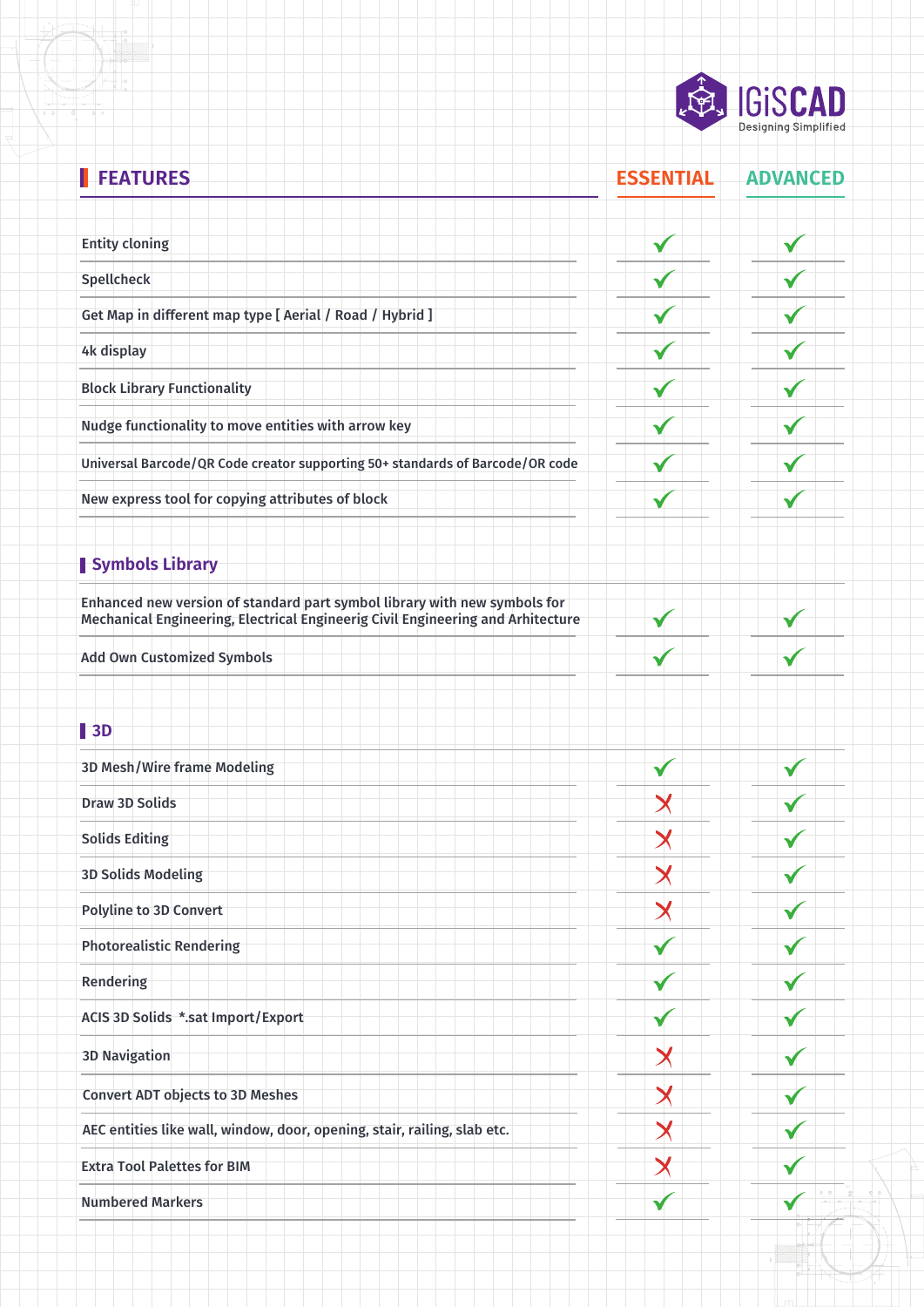

#### **FEATURES ESSENTIAL ADVANCED** Entity cloning ✔  $\checkmark$ Spellcheck  $\checkmark$  $\checkmark$ Get Map in different map type [ Aerial / Road / Hybrid ] √ 4k display Block Library Functionality Nudge functionality to move entities with arrow key Universal Barcode/QR Code creator supporting 50+ standards of Barcode/OR code  $\checkmark$  $\checkmark$ New express tool for copying attributes of block  $\checkmark$ ✔ **Symbols Library** Enhanced new version of standard part symbol library with new symbols for Mechanical Engineering, Electrical Engineerig Civil Engineering and Arhitecture v Add Own Customized Symbols **3D** 3D Mesh/Wire frame Modeling  $\checkmark$ Draw 3D Solids  $\bm{\times}$ Solids Editing  $\bm{\times}$  $\overline{\mathsf{X}}$ 3D Solids Modeling  $\bm{\times}$ Polyline to 3D Convert Photorealistic Rendering Rendering ACIS 3D Solids \*.sat Import/Export3D Navigation  $\bm{\times}$ Convert ADT objects to 3D Meshes  $\bm{\mathsf{X}}$ AEC entities like wall, window, door, opening, stair, railing, slab etc.  $\bm{\times}$ √  $\bm{\mathsf{X}}$ Extra Tool Palettes for BIM Numbered Markers ✓